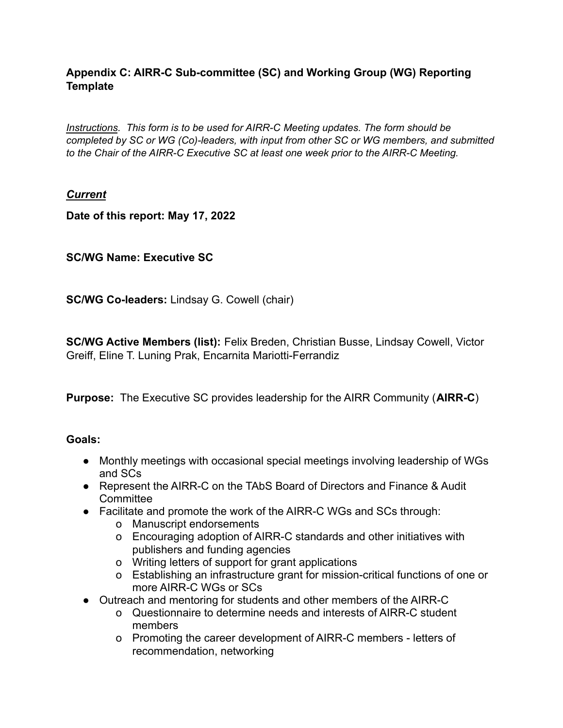## **Appendix C: AIRR-C Sub-committee (SC) and Working Group (WG) Reporting Template**

*Instructions. This form is to be used for AIRR-C Meeting updates. The form should be completed by SC or WG (Co)-leaders, with input from other SC or WG members, and submitted to the Chair of the AIRR-C Executive SC at least one week prior to the AIRR-C Meeting.*

## *Current*

**Date of this report: May 17, 2022**

## **SC/WG Name: Executive SC**

**SC/WG Co-leaders:** Lindsay G. Cowell (chair)

**SC/WG Active Members (list):** Felix Breden, Christian Busse, Lindsay Cowell, Victor Greiff, Eline T. Luning Prak, Encarnita Mariotti-Ferrandiz

**Purpose:** The Executive SC provides leadership for the AIRR Community (**AIRR-C**)

#### **Goals:**

- Monthly meetings with occasional special meetings involving leadership of WGs and SCs
- Represent the AIRR-C on the TAbS Board of Directors and Finance & Audit **Committee**
- Facilitate and promote the work of the AIRR-C WGs and SCs through:
	- o Manuscript endorsements
	- o Encouraging adoption of AIRR-C standards and other initiatives with publishers and funding agencies
	- o Writing letters of support for grant applications
	- o Establishing an infrastructure grant for mission-critical functions of one or more AIRR-C WGs or SCs
- Outreach and mentoring for students and other members of the AIRR-C
	- o Questionnaire to determine needs and interests of AIRR-C student members
	- o Promoting the career development of AIRR-C members letters of recommendation, networking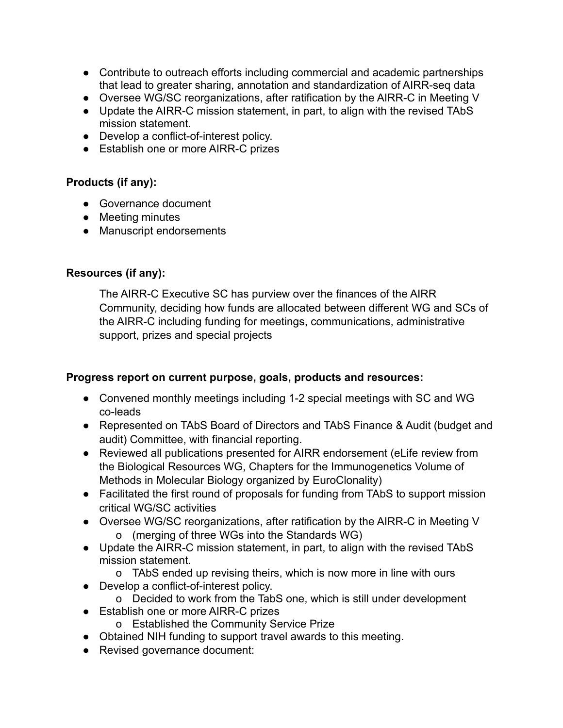- Contribute to outreach efforts including commercial and academic partnerships that lead to greater sharing, annotation and standardization of AIRR-seq data
- Oversee WG/SC reorganizations, after ratification by the AIRR-C in Meeting V
- Update the AIRR-C mission statement, in part, to align with the revised TAbS mission statement.
- Develop a conflict-of-interest policy.
- Establish one or more AIRR-C prizes

## **Products (if any):**

- Governance document
- Meeting minutes
- Manuscript endorsements

### **Resources (if any):**

The AIRR-C Executive SC has purview over the finances of the AIRR Community, deciding how funds are allocated between different WG and SCs of the AIRR-C including funding for meetings, communications, administrative support, prizes and special projects

#### **Progress report on current purpose, goals, products and resources:**

- Convened monthly meetings including 1-2 special meetings with SC and WG co-leads
- Represented on TAbS Board of Directors and TAbS Finance & Audit (budget and audit) Committee, with financial reporting.
- Reviewed all publications presented for AIRR endorsement (eLife review from the Biological Resources WG, Chapters for the Immunogenetics Volume of Methods in Molecular Biology organized by EuroClonality)
- Facilitated the first round of proposals for funding from TAbS to support mission critical WG/SC activities
- Oversee WG/SC reorganizations, after ratification by the AIRR-C in Meeting V o (merging of three WGs into the Standards WG)
- Update the AIRR-C mission statement, in part, to align with the revised TAbS mission statement.
	- o TAbS ended up revising theirs, which is now more in line with ours
- Develop a conflict-of-interest policy.
	- o Decided to work from the TabS one, which is still under development
- Establish one or more AIRR-C prizes
	- o Established the Community Service Prize
- Obtained NIH funding to support travel awards to this meeting.
- Revised governance document: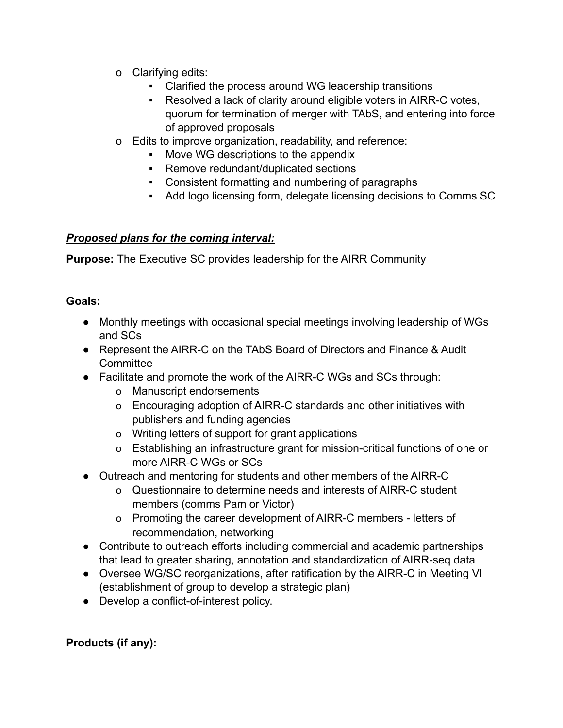- o Clarifying edits:
	- Clarified the process around WG leadership transitions
	- Resolved a lack of clarity around eligible voters in AIRR-C votes, quorum for termination of merger with TAbS, and entering into force of approved proposals
- o Edits to improve organization, readability, and reference:
	- Move WG descriptions to the appendix
	- Remove redundant/duplicated sections
	- Consistent formatting and numbering of paragraphs
	- Add logo licensing form, delegate licensing decisions to Comms SC

## *Proposed plans for the coming interval:*

**Purpose:** The Executive SC provides leadership for the AIRR Community

## **Goals:**

- Monthly meetings with occasional special meetings involving leadership of WGs and SCs
- Represent the AIRR-C on the TAbS Board of Directors and Finance & Audit **Committee**
- Facilitate and promote the work of the AIRR-C WGs and SCs through:
	- o Manuscript endorsements
	- o Encouraging adoption of AIRR-C standards and other initiatives with publishers and funding agencies
	- o Writing letters of support for grant applications
	- o Establishing an infrastructure grant for mission-critical functions of one or more AIRR-C WGs or SCs
- Outreach and mentoring for students and other members of the AIRR-C
	- o Questionnaire to determine needs and interests of AIRR-C student members (comms Pam or Victor)
	- o Promoting the career development of AIRR-C members letters of recommendation, networking
- Contribute to outreach efforts including commercial and academic partnerships that lead to greater sharing, annotation and standardization of AIRR-seq data
- Oversee WG/SC reorganizations, after ratification by the AIRR-C in Meeting VI (establishment of group to develop a strategic plan)
- Develop a conflict-of-interest policy.

# **Products (if any):**